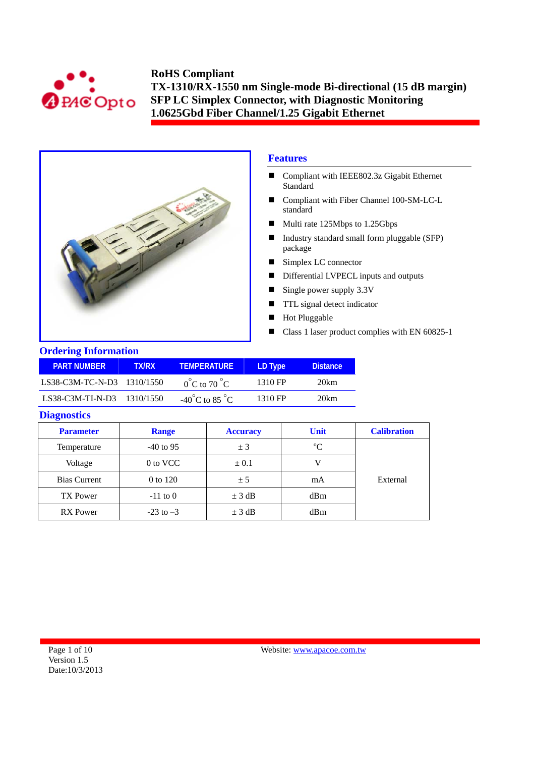



# **Features**

- Compliant with IEEE802.3z Gigabit Ethernet Standard
- Compliant with Fiber Channel 100-SM-LC-L standard
- Multi rate 125Mbps to 1.25Gbps
- Industry standard small form pluggable (SFP) package
- Simplex LC connector
- Differential LVPECL inputs and outputs
- Single power supply  $3.3V$
- **TTL** signal detect indicator
- Hot Pluggable
- Class 1 laser product complies with EN 60825-1

### **Ordering Information**

| <b>PART NUMBER</b>         | TX/RX | <b>TEMPERATURE</b>                 | LD Type | <b>Distance</b> |
|----------------------------|-------|------------------------------------|---------|-----------------|
| LS38-C3M-TC-N-D3 1310/1550 |       | $0^{\circ}$ C to 70 $^{\circ}$ C   | 1310 FP | 20km            |
| LS38-C3M-TI-N-D3 1310/1550 |       | $-40^{\circ}$ C to 85 $^{\circ}$ C | 1310 FP | 20km            |

#### **Diagnostics**

| <b>Parameter</b>    | <b>Range</b>  | <b>Accuracy</b> | <b>Unit</b> | <b>Calibration</b> |
|---------------------|---------------|-----------------|-------------|--------------------|
| Temperature         | $-40$ to 95   | ± 3             | $\rm ^{o}C$ |                    |
| Voltage             | 0 to VCC      | $\pm 0.1$       |             |                    |
| <b>Bias Current</b> | 0 to 120      | ± 5             | mA          | External           |
| <b>TX Power</b>     | $-11$ to 0    | $\pm$ 3 dB      | dBm         |                    |
| <b>RX</b> Power     | $-23$ to $-3$ | $\pm$ 3 dB      | dBm         |                    |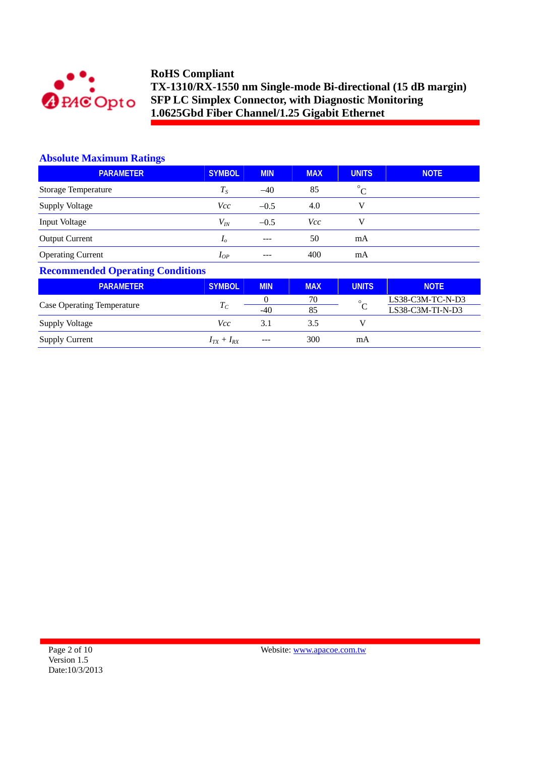

## **Absolute Maximum Ratings**

| <b>PARAMETER</b>         | <b>SYMBOL</b>  | <b>MIN</b> | <b>MAX</b> | <b>UNITS</b> | <b>NOTE</b> |
|--------------------------|----------------|------------|------------|--------------|-------------|
| Storage Temperature      | $T_S$          | $-40$      | 85         | $^{\circ}C$  |             |
| <b>Supply Voltage</b>    | Vcc            | $-0.5$     | 4.0        | V            |             |
| Input Voltage            | $V_{I\!N}$     | $-0.5$     | Vcc        | V            |             |
| <b>Output Current</b>    | I <sub>o</sub> | $---$      | 50         | mA           |             |
| <b>Operating Current</b> | $I_{OP}$       | $---$      | 400        | mA           |             |

# **Recommended Operating Conditions**

| <b>PARAMETER</b>                  | <b>SYMBOL</b>     | <b>MIN</b> | <b>MAX</b> | <b>UNITS</b> | <b>NOTE</b>        |
|-----------------------------------|-------------------|------------|------------|--------------|--------------------|
|                                   |                   |            | 70         | $\circ$      | LS38-C3M-TC-N-D3   |
| <b>Case Operating Temperature</b> | $T_{\mathcal{C}}$ | $-40$      | 85         |              | $LS38-C3M-TI-N-D3$ |
| <b>Supply Voltage</b>             | Vcc               | 3.1        | 3.5        |              |                    |
| <b>Supply Current</b>             | $I_{TX} + I_{RX}$ | ---        | 300        | mA           |                    |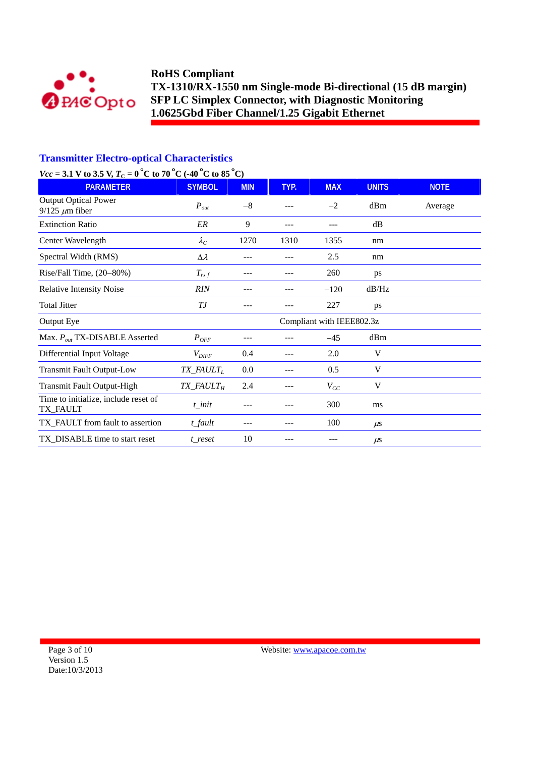

# **Transmitter Electro-optical Characteristics**

# *Vcc* = 3.1 V to 3.5 V,  $T_c$  = 0<sup>°</sup>C to 70<sup>°</sup>C (-40<sup>°</sup>C to 85<sup>°</sup>C)

| <b>PARAMETER</b>                                     | <b>SYMBOL</b>                      | <b>MIN</b> | TYP. | <b>MAX</b> | <b>UNITS</b> | <b>NOTE</b> |
|------------------------------------------------------|------------------------------------|------------|------|------------|--------------|-------------|
| <b>Output Optical Power</b><br>$9/125 \ \mu m$ fiber | $P_{out}$                          | $-8$       |      | $-2$       | dBm          | Average     |
| <b>Extinction Ratio</b>                              | ER                                 | 9          | ---  | $---$      | dB           |             |
| Center Wavelength                                    | $\lambda_C$                        | 1270       | 1310 | 1355       | nm           |             |
| Spectral Width (RMS)                                 | $\Delta \lambda$                   | ---        | ---  | 2.5        | nm           |             |
| Rise/Fall Time, (20-80%)                             | $T_{r,f}$                          | ---        |      | 260        | ps           |             |
| <b>Relative Intensity Noise</b>                      | RIN                                | ---        | ---  | $-120$     | dB/Hz        |             |
| <b>Total Jitter</b>                                  | ТJ                                 | ---        | ---  | 227        | ps           |             |
| Output Eye                                           | Compliant with IEEE802.3z          |            |      |            |              |             |
| Max. $P_{out}$ TX-DISABLE Asserted                   | $P_{OFF}$                          | ---        | --   | $-45$      | dBm          |             |
| Differential Input Voltage                           | $V_{\text{DIFF}}$                  | 0.4        | ---  | 2.0        | V            |             |
| <b>Transmit Fault Output-Low</b>                     | $TX$ <sub>_FAULT<sub>L</sub></sub> | 0.0        | ---  | 0.5        | V            |             |
| <b>Transmit Fault Output-High</b>                    | $TX$ <sub>-FAULT<sub>H</sub></sub> | 2.4        | ---  | $V_{CC}$   | V            |             |
| Time to initialize, include reset of<br>TX_FAULT     | $t$ _init                          | ---        |      | 300        | ms           |             |
| TX_FAULT from fault to assertion                     | $t$ _fault                         | ---        | ---  | 100        | $\mu$ s      |             |
| TX_DISABLE time to start reset                       | t_reset                            | 10         | ---  |            | $\mu$ s      |             |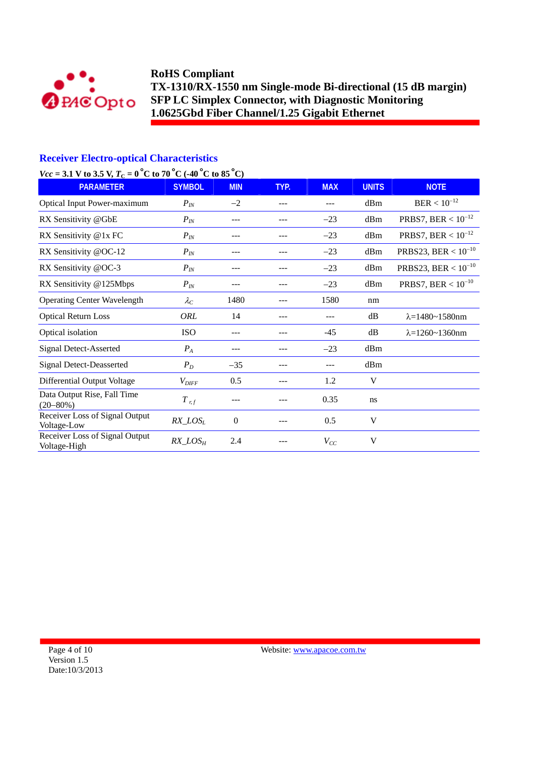

## **Receiver Electro-optical Characteristics**

# *Vcc* = 3.1 V to 3.5 V,  $T_c = 0$  °C to 70 °C (-40 °C to 85 °C)

| <b>PARAMETER</b>                               | <b>SYMBOL</b>     | <b>MIN</b>     | TYP. | <b>MAX</b> | <b>UNITS</b> | <b>NOTE</b>                |
|------------------------------------------------|-------------------|----------------|------|------------|--------------|----------------------------|
| <b>Optical Input Power-maximum</b>             | $P_{IN}$          | $-2$           | ---  | ---        | dBm          | $BER < 10^{-12}$           |
| RX Sensitivity @GbE                            | $P_{IN}$          | ---            |      | $-23$      | dBm          | PRBS7, BER < $10^{-12}$    |
| RX Sensitivity @1x FC                          | $P_{IN}$          | ---            | ---  | $-23$      | dBm          | PRBS7, BER $< 10^{-12}$    |
| RX Sensitivity @OC-12                          | $P_{IN}$          | ---            |      | $-23$      | dBm          | PRBS23, BER < $10^{-10}$   |
| RX Sensitivity @OC-3                           | $P_{IN}$          |                |      | $-23$      | dBm          | PRBS23, BER < $10^{-10}$   |
| RX Sensitivity @125Mbps                        | $P_{IN}$          |                | ---  | $-23$      | dBm          | PRBS7, BER < $10^{-10}$    |
| <b>Operating Center Wavelength</b>             | $\lambda_C$       | 1480           |      | 1580       | nm           |                            |
| <b>Optical Return Loss</b>                     | ORL               | 14             | ---  | ---        | dB           | $\lambda = 1480 - 1580$ nm |
| Optical isolation                              | <b>ISO</b>        | ---            | ---  | -45        | dB           | $\lambda = 1260 - 1360$ nm |
| <b>Signal Detect-Asserted</b>                  | $P_A$             | ---            |      | $-23$      | dBm          |                            |
| <b>Signal Detect-Deasserted</b>                | $P_D$             | $-35$          | ---  | ---        | dBm          |                            |
| Differential Output Voltage                    | $V_{\text{DIFF}}$ | 0.5            |      | 1.2        | V            |                            |
| Data Output Rise, Fall Time<br>$(20 - 80\%)$   | $T$ <sub>rf</sub> |                |      | 0.35       | ns           |                            |
| Receiver Loss of Signal Output<br>Voltage-Low  | $RX\_LOS_L$       | $\overline{0}$ |      | 0.5        | V            |                            |
| Receiver Loss of Signal Output<br>Voltage-High | $RX\_LOS_H$       | 2.4            |      | $V_{CC}$   | V            |                            |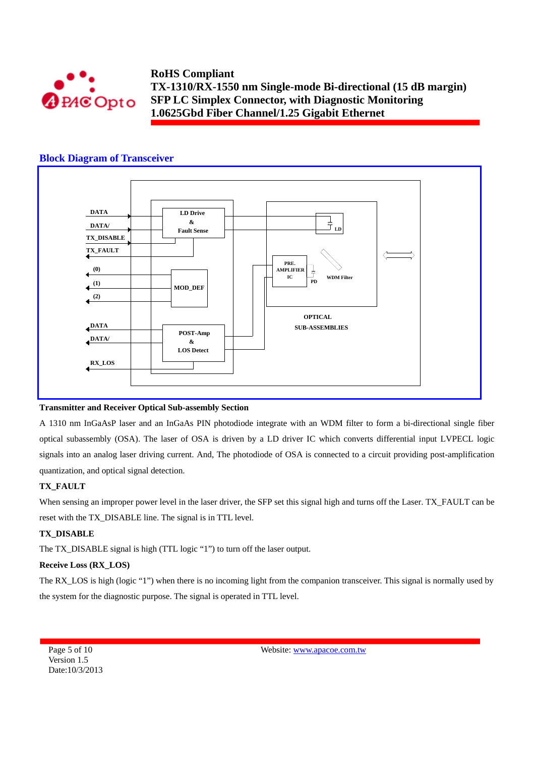

### **Block Diagram of Transceiver**



#### **Transmitter and Receiver Optical Sub-assembly Section**

A 1310 nm InGaAsP laser and an InGaAs PIN photodiode integrate with an WDM filter to form a bi-directional single fiber optical subassembly (OSA). The laser of OSA is driven by a LD driver IC which converts differential input LVPECL logic signals into an analog laser driving current. And, The photodiode of OSA is connected to a circuit providing post-amplification quantization, and optical signal detection.

#### **TX\_FAULT**

When sensing an improper power level in the laser driver, the SFP set this signal high and turns off the Laser. TX\_FAULT can be reset with the TX\_DISABLE line. The signal is in TTL level.

#### **TX\_DISABLE**

The TX\_DISABLE signal is high (TTL logic "1") to turn off the laser output.

### **Receive Loss (RX\_LOS)**

The RX\_LOS is high (logic "1") when there is no incoming light from the companion transceiver. This signal is normally used by the system for the diagnostic purpose. The signal is operated in TTL level.

Page 5 of 10 Version 1.5 Date:10/3/2013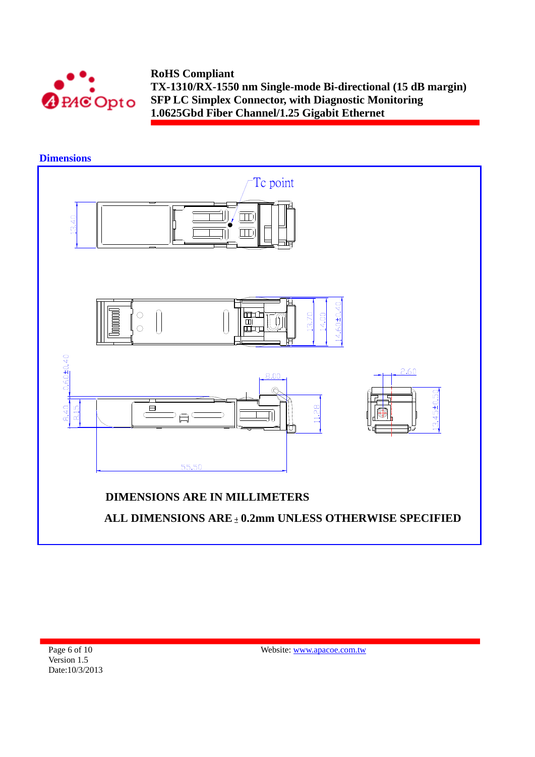

## **Dimensions**

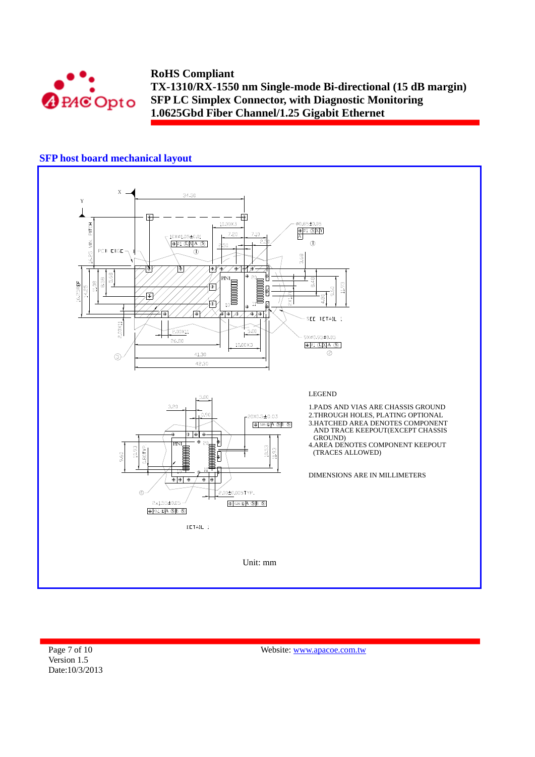

# **SFP host board mechanical layout**



Page 7 of 10 Version 1.5 Date:10/3/2013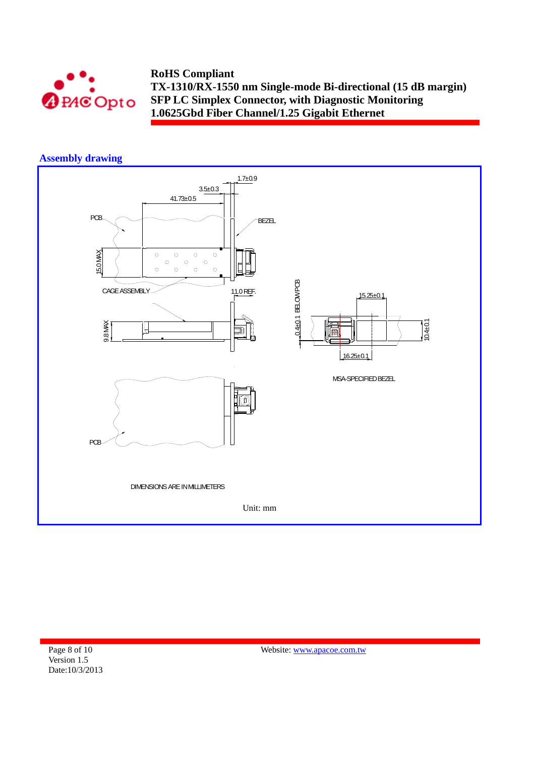

# **Assembly drawing**



Page 8 of 10 Version 1.5 Date:10/3/2013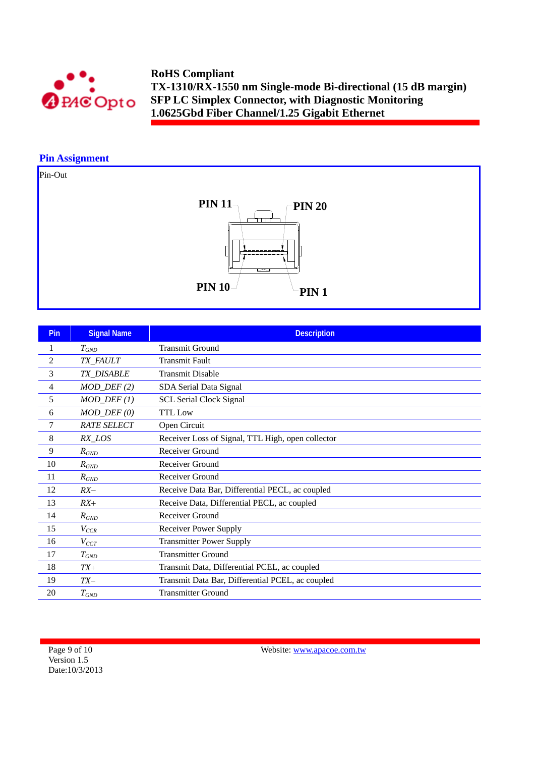

### **Pin Assignment**

# Pin-Out



| Pin            | <b>Signal Name</b>      | <b>Description</b>                                |
|----------------|-------------------------|---------------------------------------------------|
| 1              | $T_{GND}$               | <b>Transmit Ground</b>                            |
| $\overline{c}$ | TX_FAULT                | <b>Transmit Fault</b>                             |
| 3              | TX_DISABLE              | <b>Transmit Disable</b>                           |
| 4              | $MOD_$ <i>DEF</i> $(2)$ | SDA Serial Data Signal                            |
| 5              | $MOD_$ <i>DEF</i> $(1)$ | <b>SCL Serial Clock Signal</b>                    |
| 6              | $MOD_$ $DEF (0)$        | <b>TTL Low</b>                                    |
| $\overline{7}$ | <b>RATE SELECT</b>      | Open Circuit                                      |
| 8              | RX_LOS                  | Receiver Loss of Signal, TTL High, open collector |
| 9              | $R_{GND}$               | Receiver Ground                                   |
| 10             | $R_{GND}$               | Receiver Ground                                   |
| 11             | $R_{GND}$               | Receiver Ground                                   |
| 12             | $RX-$                   | Receive Data Bar, Differential PECL, ac coupled   |
| 13             | $RX+$                   | Receive Data, Differential PECL, ac coupled       |
| 14             | $R_{GND}$               | Receiver Ground                                   |
| 15             | $V_{CCR}$               | <b>Receiver Power Supply</b>                      |
| 16             | $V_{CCT}$               | <b>Transmitter Power Supply</b>                   |
| 17             | $T_{GND}$               | <b>Transmitter Ground</b>                         |
| 18             | $TX+$                   | Transmit Data, Differential PCEL, ac coupled      |
| 19             | $TX-$                   | Transmit Data Bar, Differential PCEL, ac coupled  |
| 20             | $T_{GND}$               | <b>Transmitter Ground</b>                         |

Page 9 of 10 Version 1.5 Date:10/3/2013